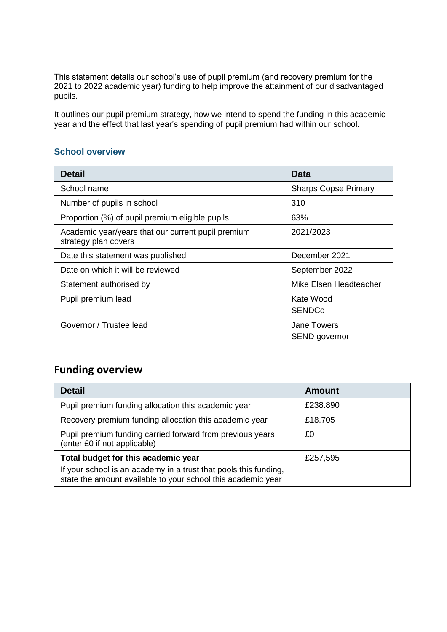This statement details our school's use of pupil premium (and recovery premium for the 2021 to 2022 academic year) funding to help improve the attainment of our disadvantaged pupils.

It outlines our pupil premium strategy, how we intend to spend the funding in this academic year and the effect that last year's spending of pupil premium had within our school.

#### **School overview**

| <b>Detail</b>                                                              | Data                                |
|----------------------------------------------------------------------------|-------------------------------------|
| School name                                                                | <b>Sharps Copse Primary</b>         |
| Number of pupils in school                                                 | 310                                 |
| Proportion (%) of pupil premium eligible pupils                            | 63%                                 |
| Academic year/years that our current pupil premium<br>strategy plan covers | 2021/2023                           |
| Date this statement was published                                          | December 2021                       |
| Date on which it will be reviewed                                          | September 2022                      |
| Statement authorised by                                                    | Mike Elsen Headteacher              |
| Pupil premium lead                                                         | Kate Wood<br><b>SENDCo</b>          |
| Governor / Trustee lead                                                    | <b>Jane Towers</b><br>SEND governor |

# **Funding overview**

| <b>Detail</b>                                                                                                                    | <b>Amount</b> |
|----------------------------------------------------------------------------------------------------------------------------------|---------------|
| Pupil premium funding allocation this academic year                                                                              | £238,890      |
| Recovery premium funding allocation this academic year                                                                           | £18,705       |
| Pupil premium funding carried forward from previous years<br>(enter £0 if not applicable)                                        | £0            |
| Total budget for this academic year                                                                                              | £257,595      |
| If your school is an academy in a trust that pools this funding,<br>state the amount available to your school this academic year |               |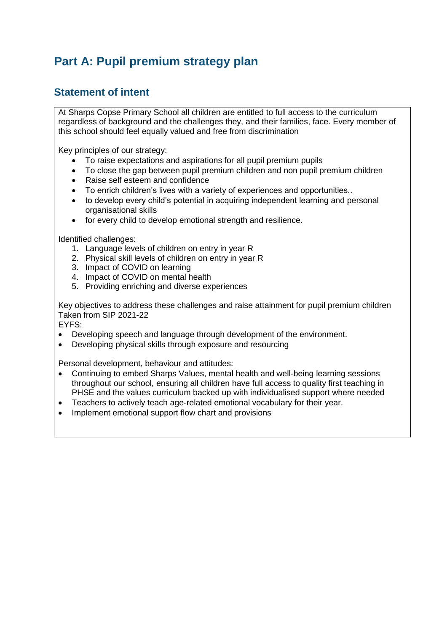# **Part A: Pupil premium strategy plan**

### **Statement of intent**

At Sharps Copse Primary School all children are entitled to full access to the curriculum regardless of background and the challenges they, and their families, face. Every member of this school should feel equally valued and free from discrimination

Key principles of our strategy:

- To raise expectations and aspirations for all pupil premium pupils
- To close the gap between pupil premium children and non pupil premium children
- Raise self esteem and confidence
- To enrich children's lives with a variety of experiences and opportunities..
- to develop every child's potential in acquiring independent learning and personal organisational skills
- for every child to develop emotional strength and resilience.

Identified challenges:

- 1. Language levels of children on entry in year R
- 2. Physical skill levels of children on entry in year R
- 3. Impact of COVID on learning
- 4. Impact of COVID on mental health
- 5. Providing enriching and diverse experiences

Key objectives to address these challenges and raise attainment for pupil premium children Taken from SIP 2021-22

EYFS:

- Developing speech and language through development of the environment.
- Developing physical skills through exposure and resourcing

Personal development, behaviour and attitudes:

- Continuing to embed Sharps Values, mental health and well-being learning sessions throughout our school, ensuring all children have full access to quality first teaching in PHSE and the values curriculum backed up with individualised support where needed
- Teachers to actively teach age-related emotional vocabulary for their year.
- Implement emotional support flow chart and provisions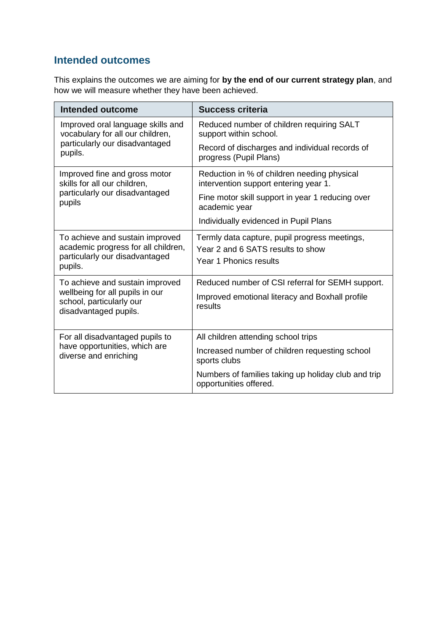### **Intended outcomes**

This explains the outcomes we are aiming for **by the end of our current strategy plan**, and how we will measure whether they have been achieved.

| Intended outcome                                                                                                    | <b>Success criteria</b>                                                                                      |  |
|---------------------------------------------------------------------------------------------------------------------|--------------------------------------------------------------------------------------------------------------|--|
| Improved oral language skills and<br>vocabulary for all our children,                                               | Reduced number of children requiring SALT<br>support within school.                                          |  |
| particularly our disadvantaged<br>pupils.                                                                           | Record of discharges and individual records of<br>progress (Pupil Plans)                                     |  |
| Improved fine and gross motor<br>skills for all our children,                                                       | Reduction in % of children needing physical<br>intervention support entering year 1.                         |  |
| particularly our disadvantaged<br>pupils                                                                            | Fine motor skill support in year 1 reducing over<br>academic year                                            |  |
|                                                                                                                     | Individually evidenced in Pupil Plans                                                                        |  |
| To achieve and sustain improved<br>academic progress for all children,<br>particularly our disadvantaged<br>pupils. | Termly data capture, pupil progress meetings,<br>Year 2 and 6 SATS results to show<br>Year 1 Phonics results |  |
| To achieve and sustain improved                                                                                     | Reduced number of CSI referral for SEMH support.                                                             |  |
| wellbeing for all pupils in our<br>school, particularly our<br>disadvantaged pupils.                                | Improved emotional literacy and Boxhall profile<br>results                                                   |  |
| For all disadvantaged pupils to                                                                                     | All children attending school trips                                                                          |  |
| have opportunities, which are<br>diverse and enriching                                                              | Increased number of children requesting school<br>sports clubs                                               |  |
|                                                                                                                     | Numbers of families taking up holiday club and trip<br>opportunities offered.                                |  |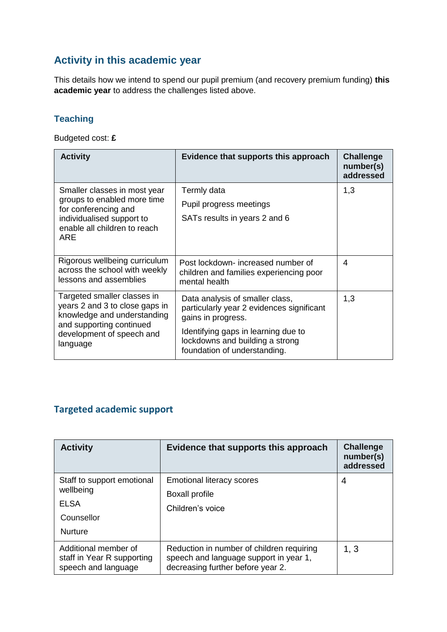## **Activity in this academic year**

This details how we intend to spend our pupil premium (and recovery premium funding) **this academic year** to address the challenges listed above.

#### **Teaching**

Budgeted cost: **£**

| <b>Activity</b>                                                                                                          | Evidence that supports this approach                                                                   | <b>Challenge</b><br>number(s)<br>addressed |
|--------------------------------------------------------------------------------------------------------------------------|--------------------------------------------------------------------------------------------------------|--------------------------------------------|
| Smaller classes in most year<br>groups to enabled more time                                                              | Termly data                                                                                            | 1,3                                        |
| for conferencing and                                                                                                     | Pupil progress meetings                                                                                |                                            |
| individualised support to<br>enable all children to reach<br>ARE                                                         | SATs results in years 2 and 6                                                                          |                                            |
| Rigorous wellbeing curriculum<br>across the school with weekly<br>lessons and assemblies                                 | Post lockdown- increased number of<br>children and families experiencing poor<br>mental health         | 4                                          |
| Targeted smaller classes in<br>years 2 and 3 to close gaps in<br>knowledge and understanding<br>and supporting continued | Data analysis of smaller class,<br>particularly year 2 evidences significant<br>gains in progress.     | 1,3                                        |
| development of speech and<br>language                                                                                    | Identifying gaps in learning due to<br>lockdowns and building a strong<br>foundation of understanding. |                                            |

## **Targeted academic support**

| <b>Activity</b>                                                                        | Evidence that supports this approach                                                                                     | <b>Challenge</b><br>number(s)<br>addressed |
|----------------------------------------------------------------------------------------|--------------------------------------------------------------------------------------------------------------------------|--------------------------------------------|
| Staff to support emotional<br>wellbeing<br><b>ELSA</b><br>Counsellor<br><b>Nurture</b> | <b>Emotional literacy scores</b><br><b>Boxall profile</b><br>Children's voice                                            | 4                                          |
| Additional member of<br>staff in Year R supporting<br>speech and language              | Reduction in number of children requiring<br>speech and language support in year 1,<br>decreasing further before year 2. | 1, 3                                       |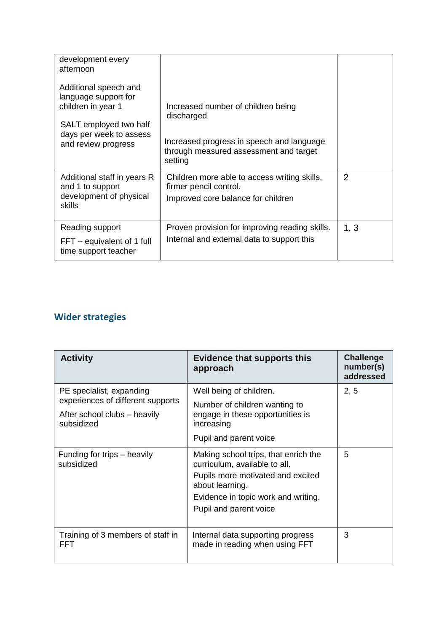| development every<br>afternoon                                                                                                                  |                                                                                                                                                    |                |
|-------------------------------------------------------------------------------------------------------------------------------------------------|----------------------------------------------------------------------------------------------------------------------------------------------------|----------------|
| Additional speech and<br>language support for<br>children in year 1<br>SALT employed two half<br>days per week to assess<br>and review progress | Increased number of children being<br>discharged<br>Increased progress in speech and language<br>through measured assessment and target<br>setting |                |
| Additional staff in years R<br>and 1 to support<br>development of physical<br>skills                                                            | Children more able to access writing skills,<br>firmer pencil control.<br>Improved core balance for children                                       | $\overline{2}$ |
| Reading support<br>$FFT - equivalent of 1 full$<br>time support teacher                                                                         | Proven provision for improving reading skills.<br>Internal and external data to support this                                                       | 1, 3           |

# **Wider strategies**

| <b>Activity</b>                                                                                             | <b>Evidence that supports this</b><br>approach                                                                                                                                                 | <b>Challenge</b><br>number(s)<br>addressed |
|-------------------------------------------------------------------------------------------------------------|------------------------------------------------------------------------------------------------------------------------------------------------------------------------------------------------|--------------------------------------------|
| PE specialist, expanding<br>experiences of different supports<br>After school clubs – heavily<br>subsidized | Well being of children.<br>Number of children wanting to<br>engage in these opportunities is<br>increasing<br>Pupil and parent voice                                                           | 2, 5                                       |
| Funding for trips – heavily<br>subsidized                                                                   | Making school trips, that enrich the<br>curriculum, available to all.<br>Pupils more motivated and excited<br>about learning.<br>Evidence in topic work and writing.<br>Pupil and parent voice | 5                                          |
| Training of 3 members of staff in<br>FFT                                                                    | Internal data supporting progress<br>made in reading when using FFT                                                                                                                            | 3                                          |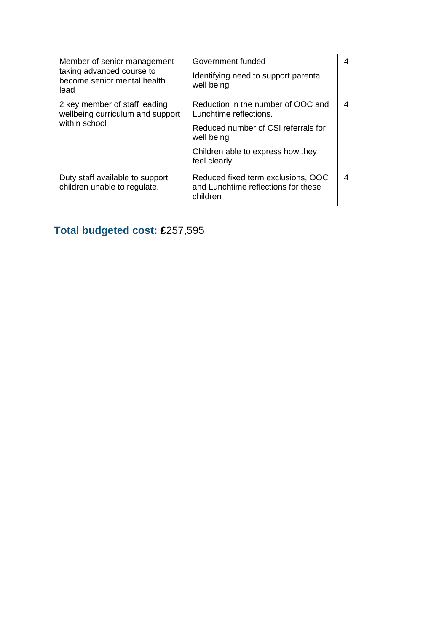| Member of senior management<br>taking advanced course to<br>become senior mental health<br>lead | Government funded<br>Identifying need to support parental<br>well being               | 4 |
|-------------------------------------------------------------------------------------------------|---------------------------------------------------------------------------------------|---|
| 2 key member of staff leading<br>wellbeing curriculum and support                               | Reduction in the number of OOC and<br>Lunchtime reflections.                          | 4 |
| within school                                                                                   | Reduced number of CSI referrals for<br>well being                                     |   |
|                                                                                                 | Children able to express how they<br>feel clearly                                     |   |
| Duty staff available to support<br>children unable to regulate.                                 | Reduced fixed term exclusions, OOC<br>and Lunchtime reflections for these<br>children | 4 |

# **Total budgeted cost: £**257,595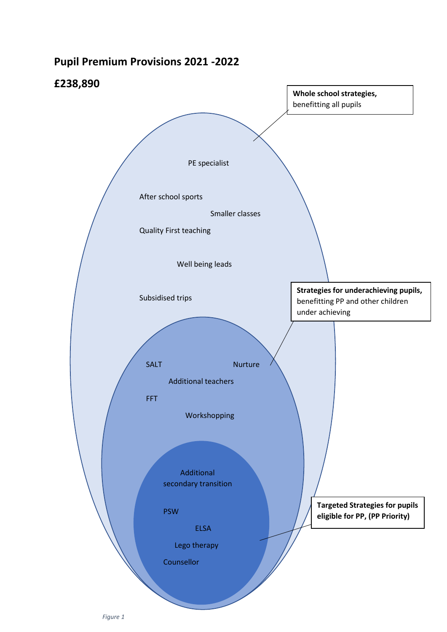## **Pupil Premium Provisions 2021 -2022**

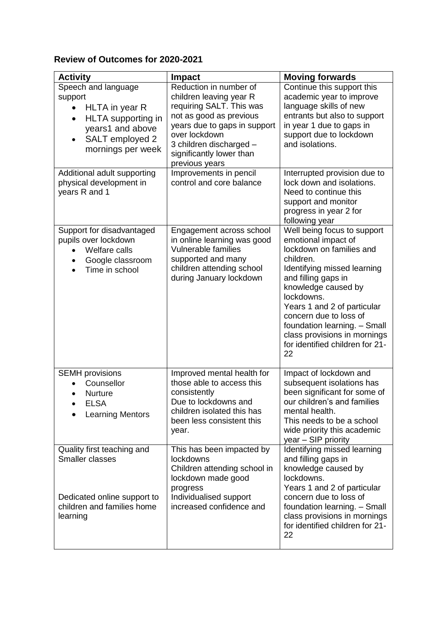#### **Review of Outcomes for 2020-2021**

| <b>Activity</b>                                                                                                                                                           | <b>Impact</b>                                                                                                                                                                                                                      | <b>Moving forwards</b>                                                                                                                                                                                                                                                                                                                                   |
|---------------------------------------------------------------------------------------------------------------------------------------------------------------------------|------------------------------------------------------------------------------------------------------------------------------------------------------------------------------------------------------------------------------------|----------------------------------------------------------------------------------------------------------------------------------------------------------------------------------------------------------------------------------------------------------------------------------------------------------------------------------------------------------|
| Speech and language<br>support<br>HLTA in year R<br>$\bullet$<br>HLTA supporting in<br>$\bullet$<br>years1 and above<br>SALT employed 2<br>$\bullet$<br>mornings per week | Reduction in number of<br>children leaving year R<br>requiring SALT. This was<br>not as good as previous<br>years due to gaps in support<br>over lockdown<br>3 children discharged -<br>significantly lower than<br>previous years | Continue this support this<br>academic year to improve<br>language skills of new<br>entrants but also to support<br>in year 1 due to gaps in<br>support due to lockdown<br>and isolations.                                                                                                                                                               |
| Additional adult supporting<br>physical development in<br>years R and 1                                                                                                   | Improvements in pencil<br>control and core balance                                                                                                                                                                                 | Interrupted provision due to<br>lock down and isolations.<br>Need to continue this<br>support and monitor<br>progress in year 2 for<br>following year                                                                                                                                                                                                    |
| Support for disadvantaged<br>pupils over lockdown<br>Welfare calls<br>$\bullet$<br>Google classroom<br>Time in school<br>$\bullet$                                        | Engagement across school<br>in online learning was good<br><b>Vulnerable families</b><br>supported and many<br>children attending school<br>during January lockdown                                                                | Well being focus to support<br>emotional impact of<br>lockdown on families and<br>children.<br>Identifying missed learning<br>and filling gaps in<br>knowledge caused by<br>lockdowns.<br>Years 1 and 2 of particular<br>concern due to loss of<br>foundation learning. - Small<br>class provisions in mornings<br>for identified children for 21-<br>22 |
| <b>SEMH</b> provisions<br>Counsellor<br><b>Nurture</b><br>FI SA<br><b>Learning Mentors</b>                                                                                | Improved mental health for<br>those able to access this<br>consistently<br>Due to lockdowns and<br>children isolated this has<br>been less consistent this<br>year.                                                                | Impact of lockdown and<br>subsequent isolations has<br>been significant for some of<br>our children's and families<br>mental health.<br>This needs to be a school<br>wide priority this academic<br>year - SIP priority                                                                                                                                  |
| Quality first teaching and<br>Smaller classes<br>Dedicated online support to<br>children and families home<br>learning                                                    | This has been impacted by<br>lockdowns<br>Children attending school in<br>lockdown made good<br>progress<br>Individualised support<br>increased confidence and                                                                     | Identifying missed learning<br>and filling gaps in<br>knowledge caused by<br>lockdowns.<br>Years 1 and 2 of particular<br>concern due to loss of<br>foundation learning. - Small<br>class provisions in mornings<br>for identified children for 21-<br>22                                                                                                |